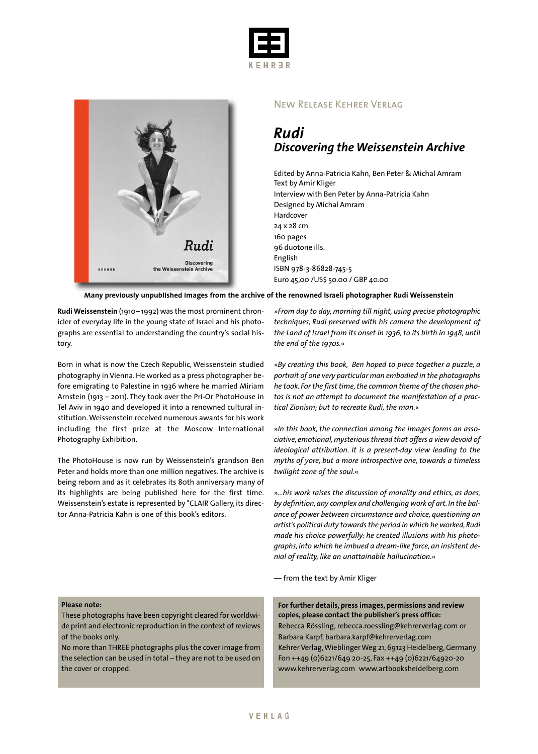



## New Release Kehrer Verlag

## *Rudi Discovering the Weissenstein Archive*

Edited by Anna-Patricia Kahn, Ben Peter & Michal Amram Text by Amir Kliger Interview with Ben Peter by Anna-Patricia Kahn Designed by Michal Amram Hardcover 24 x 28 cm 160 pages 96 duotone ills. English ISBN 978-3-86828-745-5 Euro 45,00 /US\$ 50.00 / GBP 40.00

**Many previously unpublished images from the archive of the renowned Israeli photographer Rudi Weissenstein**

**Rudi Weissenstein** (1910– 1992) was the most prominent chronicler of everyday life in the young state of Israel and his photographs are essential to understanding the country's social history.

Born in what is now the Czech Republic, Weissenstein studied photography in Vienna.He worked as a press photographer before emigrating to Palestine in 1936 where he married Miriam Arnstein (1913 – 2011). They took over the Pri-Or PhotoHouse in Tel Aviv in 1940 and developed it into a renowned cultural institution.Weissenstein received numerous awards for his work including the first prize at the Moscow International Photography Exhibition.

The PhotoHouse is now run by Weissenstein's grandson Ben Peter and holds more than one million negatives.The archive is being reborn and as it celebrates its 80th anniversary many of its highlights are being published here for the first time. Weissenstein's estate is represented by °CLAIR Gallery, its director Anna-Patricia Kahn is one of this book's editors.

»*From day to day, morning till night, using precise photographic techniques, Rudi preserved with his camera the development of the Land of Israel from its onset in 1936, to its birth in 1948, until the end of the 1970s.*«

»*By creating this book, Ben hoped to piece together a puzzle, a portrait of one very particular man embodied in the photographs he took. For the first time,the common theme of the chosen photos is not an attempt to document the manifestation of a practical Zionism; but to recreate Rudi, the man.*«

»*In this book, the connection among the images forms an associative, emotional,mysterious thread that offers a view devoid of ideological attribution. It is a present-day view leading to the myths of yore, but a more introspective one, towards a timeless twilight zone of the soul.*«

»*...his work raises the discussion of morality and ethics, as does, by definition,any complex and challenging work of art. In the balance of power between circumstance and choice, questioning an artist's political duty towards the period in which he worked,Rudi made his choice powerfully: he created illusions with his photographs, into which he imbued a dream-like force, an insistent denial of reality, like an unattainable hallucination.*«

— from the text by Amir Kliger

## **Please note:**

These photographs have been copyright cleared for worldwide print and electronic reproduction in the context of reviews of the books only.

No more than THREE photographs plus the cover image from the selection can be used in total – they are not to be used on the cover or cropped.

**For further details, press images, permissions and review copies, please contact the publisher's press office:** Rebecca Rössling, rebecca.roessling@kehrerverlag.com or Barbara Karpf, barbara.karpf@kehrerverlag.com Kehrer Verlag, Wieblinger Weg 21, 69123 Heidelberg, Germany Fon ++49 (0)6221/649 20-25, Fax ++49 (0)6221/64920-20 www.kehrerverlag.com www.artbooksheidelberg.com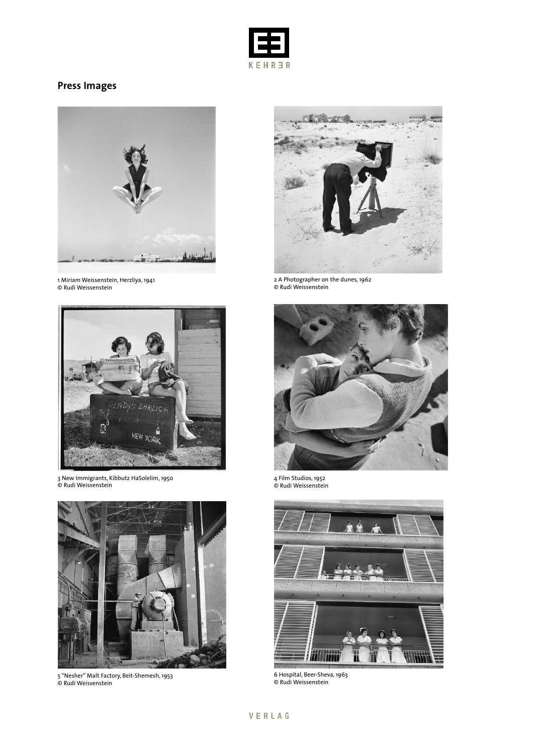

## **Press Images**



1 Miriam Weissenstein, Herzliya, 1941 © Rudi Weissenstein



3 New Immigrants, Kibbutz HaSolelim, 1950 © Rudi Weissenstein



5 "Nesher" Malt Factory, Beit-Shemesh, 1953 © Rudi Weissenstein



2 A Photographer on the dunes, 1962 © Rudi Weissenstein



4 Film Studios, 1952 © Rudi Weissenstein



6 Hospital, Beer-Sheva, 1963 © Rudi Weissenstein